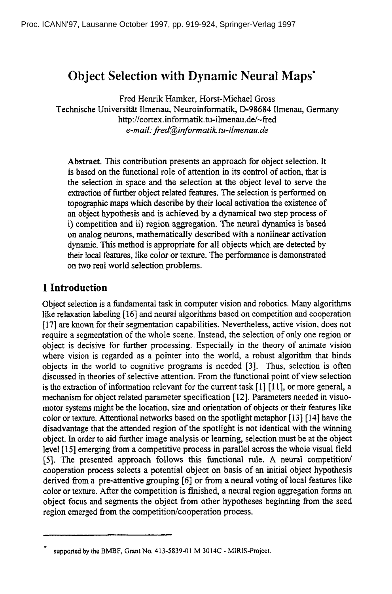# **Object Selection with Dynamic Neural Maps\***

Fred Henrik Hamker, Horst-Michael Gross Technische Universitat Ilmenau, Neuroinformatik, D-98684 Ilmenau, Germany http://cortex.informatik.tu-ilmenau.de/~fred *e-mail." fred@informatilc tu-ilmenau.de* 

**Abstract.** This contribution presents an approach for object selection. It is based on the functional role of attention in its control of action, that is the selection in space and the selection at the object level to serve the extraction of further object related features. The selection is performed on topographic maps which describe by their local activation the existence of an object hypothesis and is achieved by a dynamical two step process of i) competition and ii) region aggregation. The neural dynamics is based on analog neurons, mathematically described with a nonlinear activation dynamic. This method is appropriate for all objects which are detected by their local features, like color or texture. The performance is demonstrated on two real world selection problems.

## 1 **Introduction**

Object selection is a fundamental task in computer vision and robotics. Many algorithms like relaxation labeling [16] and neural algorithms based on competition and cooperation [17] are known for their segmentation capabilities. Nevertheless, active vision, does not require a segmentation of the whole scene. Instead, the selection of only one region or object is decisive for further processing. Especially in the theory of animate vision where vision is regarded as a pointer into the world, a robust algorithm that binds objects in the world to cognitive programs is needed [3]. Thus, selection is often discussed in theories of selective attention. From the functional point of view selection is the extraction of information relevant for the current task  $[1] [1]$ , or more general, a mechanism for object related parameter specification [12]. Parameters needed in visuomotor systems might be the location, size and orientation of objects or their features like color or texture. Attentional networks based on the spotlight metaphor [ 13 ] [ 14] have the disadvantage that the attended region of the spotlight is not identical with the winning object. In order to aid further image analysis or learning, selection must be at the object level [15] emerging from a competitive process in parallel across the whole visual field [5]. The presented approach follows this functional rule. A neural competition/ cooperation process selects a potential object on basis of an initial object hypothesis derived from a pre-attentive grouping [6] or from a neural voting of local features like color or texture. After the competition is finished, a neural region aggregation forms an object focus and segments the object from other hypotheses beginning from the seed region emerged from the competition/cooperation process.

supported by the BMBF, Grant No. 413-5839-01 M 3014C - MIRIS-Project.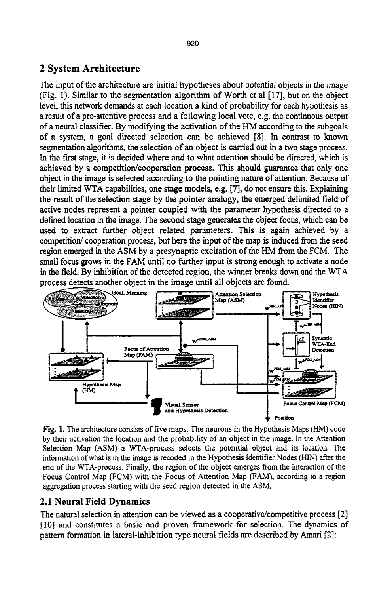### 2 System Architecture

The input of the architecture are initial hypotheses about potential objects in the image (Fig. 1). Similar to the segmentation algorithm of Worth et al [17], but on the object level, this network demands at each location a kind of probability for each hypothesis as a result of a pre-attentive process and a following local vote, e.g. the continuous output of a neural classifier. By modifying the activation of the HM according to the subgoals of a system, a goal directed selection can be achieved [8]. In contrast to known segmentation algorithms, the selection of an object is carried out in a two stage process. In the first stage, it is decided where and to what attention should be directed, which is achieved by a competition/cooperation process. This should guarantee that only one object in the image is selected according to the pointing nature of attention. Because of their limited WTA capabilities, one stage models, e.g. [7], do not ensure this. Explaining the result of the selection stage by the pointer analogy, the emerged delimited field of active nodes represent a pointer coupled with the parameter hypothesis directed to a defined location in the image. The second stage generates the object focus, which can be used to extract further object related parameters. This is again achieved by a competition/cooperation process, but here the input of the map is induced from the seed region emerged in the ASM by a presynaptic excitation of the HM from the FCM. The small focus grows in the FAM until no further input is strong enough to activate a node in the field. By inhibition of the detected region, the winner breaks down and the WTA



Fig. 1. The architecture consists of five maps. The neurons in the Hypothesis Maps (HM) code by their activation the location and the probability of an object in the image. In the Attention Selection Map (ASM) a WTA-process selects the potential object and its location. The information of what is in the image is recoded in the Hypothesis Identifier Nodes (HIN) after the end of the WTA-process. Finally, the region of the object emerges from the interaction of the Focus Control Map (FCM) with the Focus of Attention Map (FAM), according to a region aggregation process starting with the seed region detected in the ASM.

#### **2.1 Neural Field Dynamics**

The natural selection in attention can be viewed as a cooperative/competitive process [2] [10] and constitutes a basic and proven framework for selection. The dynamics of pattern formation in lateral-inhibition type neural fields are described by Amari [2]: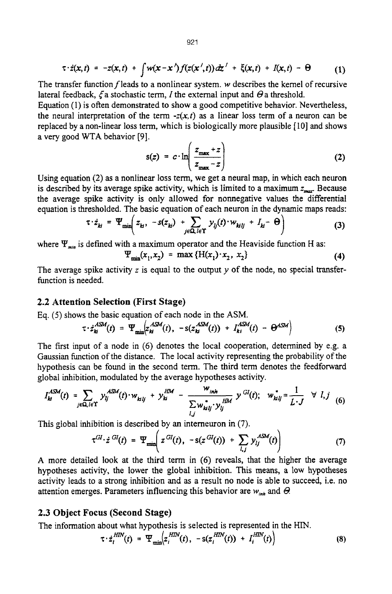The transfer function  $f$  leads to a nonlinear system,  $w$  describes the kernel of recursive lateral feedback,  $\zeta$  a stochastic term, I the external input and  $\Theta$  a threshold.

Equation (1) is often demonstrated to show a good competitive behavior. Nevertheless, the neural interpretation of the term  $-x(x,t)$  as a linear loss term of a neuron can be replaced by a non-linear loss term, which is biologically more plausible [10] and shows a very good WTA behavior [9].

$$
s(z) = c \cdot \ln\left(\frac{z_{\max} + z}{z_{\max} - z}\right) \tag{2}
$$

Using equation (2) as a nonlinear loss term, we get a neural map, in which each neuron is described by its average spike activity, which is limited to a maximum  $z_{\text{max}}$ . Because the average spike activity is only allowed for nonnegative values the differential equation is thresholded. The basic equation of each neuron in the dynamic maps reads:

$$
\tau \cdot \dot{z}_{kl} = \Psi_{\min} \left( z_{kl}, -s(z_{kl}) + \sum_{j \in \Omega, l \in \Upsilon} y_{lj}(t) \cdot w_{kllj} + I_{kl} - \Theta \right)
$$
(3)

where  $\Psi_{min}$  is defined with a maximum operator and the Heaviside function H as:

$$
\Psi_{\min}(x_1, x_2) = \max \{H(x_1) \cdot x_2, x_2\} \tag{4}
$$

The average spike activity  $z$  is equal to the output  $y$  of the node, no special transferfunction is needed.

#### 2.2 Attention **Selection (First Stage)**

Eq. (5) shows the basic equation of each node in the ASM.

$$
\tau \cdot \dot{z}_{ki}^{ASM}(t) = \Psi_{\min} \left( z_{ki}^{ASM}(t), -s(z_{ki}^{ASM}(t)) + I_{ki}^{ASM}(t) - \Theta^{ASM} \right) \tag{5}
$$

The first input of a node in (6) denotes the local cooperation, determined by e.g. a Gaussian function of the distance. The local activity representing the probability of the hypothesis can be found in the second term. The third term denotes the feedforward global inhibition, modulated by the average hypotheses activity.

$$
I_{kl}^{ASM}(t) = \sum_{j \in \Omega, l \in \Upsilon} y_{lj}^{ASM}(t) \cdot w_{klj} + y_{kl}^{HM} - \frac{w_{inh}}{\sum_{l,j} w_{klj}^* y_{lj}^{HM}} y^{GI}(t); \quad w_{klj}^* = \frac{1}{L \cdot J} \quad \forall \ l, j \tag{6}
$$

This global inhibition is described by an intemeuron in (7).

$$
\tau^{GI} \cdot \dot{z}^{GI}(t) = \Psi_{\min}\left(z^{GI}(t), -s(z^{GI}(t)) + \sum_{l,j} y_{lj}^{ASM}(t)\right) \tag{7}
$$

A more detailed look at the third term in  $(6)$  reveals, that the higher the average hypotheses activity, the lower the global inhibition. This means, a low hypotheses activity leads to a strong inhibition and as a result no node is able to succeed, i.e. no attention emerges. Parameters influencing this behavior are  $w_{\text{int}}$  and  $\Theta$ .

#### **2.3 Object Focus (Second Stage)**

The information about what hypothesis is selected is represented in the HIN.

$$
\tau \cdot z_i^{HIN}(t) = \Psi_{\min} \Big( z_i^{HIN}(t), -s(z_i^{HIN}(t)) + I_i^{HIN}(t) \Big)
$$
(8)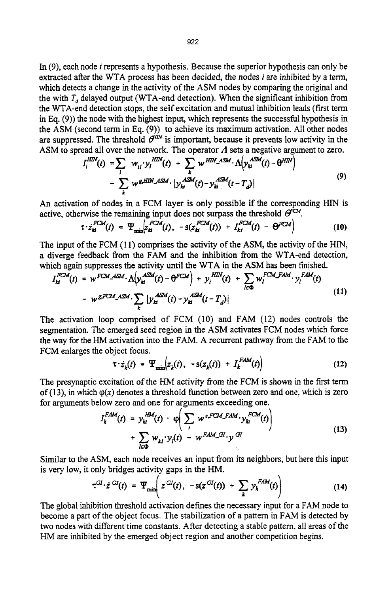In (9), each node i represents a hypothesis. Because the superior hypothesis can only be extracted after the WTA process has been decided, the nodes i are inhibited by a term, which detects a change in the activity of the ASM nodes by comparing the original and the with  $T<sub>d</sub>$  delayed output (WTA-end detection). When the significant inhibition from the WTA-end detection stops, the self excitation and mutual inhibition leads (first term in Eq. (9)) the node with the highest input, which represents the successful hypothesis in the ASM (second term in Eq. (9)) to achieve its maximum activation. All other nodes are suppressed. The threshold  $\hat{\theta}^{\text{HIN}}$  is important, because it prevents low activity in the ASM to spread all over the network. The operator  $\Lambda$  sets a negative argument to zero.

$$
I_t^{HIN}(t) = \sum_l w_{il} y_l^{HIN}(t) + \sum_k w^{HIN} A^{SM} \cdot \Lambda \left( y_h^{ASM}(t) - \theta^{HIN} \right)
$$
  
- 
$$
\sum_k w^{g, HIN} A^{SM} \cdot \left| y_h^{ASM}(t) - y_h^{ASM}(t - T_d) \right|
$$
 (9)

An activation of nodes in a FCM layer is only possible if the corresponding HIN is active, otherwise the remaining input does not surpass the threshold  $\Theta^{\text{ccu}}$ .

$$
\tau \cdot \dot{z}_{\mathcal{U}}^{FCM}(t) = \Psi_{\min} \left\{ z_{\mathcal{U}}^{FCM}(t), -s(z_{\mathcal{U}}^{FCM}(t)) + I_{\mathcal{U}}^{FCM}(t) - \Theta^{FCM} \right\} \tag{10}
$$

The input of the FCM (11) comprises the activity of the ASM, the activity of the HIN, a diverge feedback from the FAM and the inhibition from the WTA-end detection, which again suppresses the activity until the WTA in the ASM has been finished.

$$
I_H^{FCM}(t) = w^{FCM\_ASM} \cdot \Lambda \Big( y_M^{ASM}(t) - \Theta^{FCM} \Big) + y_i^{HIN}(t) + \sum_{l \in \Phi} w_l^{FCM\_FAM} \cdot y_l^{FAM}(t)
$$
  
- 
$$
w^{g,FCM\_ASM} \cdot \sum_k |y_M^{ASM}(t) - y_M^{ASM}(t - T_d)|
$$
 (11)

The activation loop comprised of FCM (10) and FAM (12) nodes controls the segmentation. The emerged seed region in the ASM activates FCM nodes which force the way for the HM activation into the FAM. A recurrent pathway from the FAM to the FCM enlarges the object focus.

$$
\tau \cdot \dot{z}_k(t) = \Psi_{\min} \Big( z_k(t), -s(z_k(t)) + I_k^{FAM}(t) \Big) \tag{12}
$$

The presynaptic excitation of the HM activity from the FCM is shown in the first term of (13), in which  $\varphi(x)$  denotes a threshold function between zero and one, which is zero for arguments below zero and one for arguments exceeding one.

$$
I_k^{FAM}(t) = y_{ki}^{HMA}(t) \cdot \varphi \bigg( \sum_i w^{e,FCM\_FAM} \cdot y_{ki}^{FCM}(t) \bigg) + \sum_{l \in \Phi} w_{ki} \cdot y_l(t) - w^{FAM\_GI} \cdot y^{GI} \tag{13}
$$

Similar to the ASM, each node receives an input from its neighbors, but here this input is very low, it only bridges activity gaps in the HM.

$$
\tau^{GI} \cdot \dot{z}^{GI}(t) = \Psi_{\min}\bigg(z^{GI}(t), -s(z^{GI}(t)) + \sum_{k} y_{k}^{FAM}(t)\bigg) \tag{14}
$$

The global inhibition threshold activation defines the necessary input for a FAM node to become a part of the object focus. The stabilization of a pattern in FAM is detected by two nodes with different time constants. After detecting a stable pattern, all areas of the HM are inhibited by the emerged object region and another competition begins.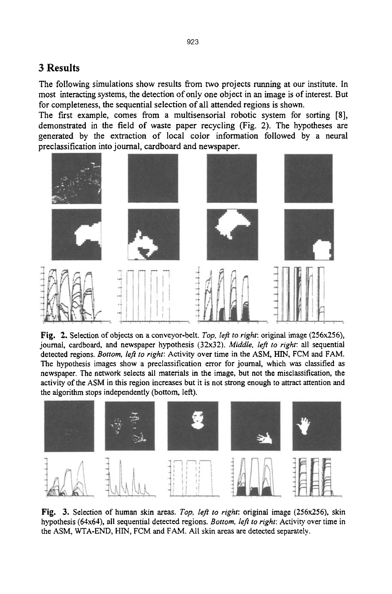## **3 Results**

The following simulations show results from two projects running at our institute. In most interacting systems, the detection of only one object in an image is of interest. But for completeness, the sequential selection of all attended regions is shown.

The first example, comes from a multisensorial robotic system for sorting [8], demonstrated in the field of waste paper recycling (Fig. 2). The hypotheses are generated by the extraction of local color information followed by a neural preclassification into journal, cardboard and newspaper.



Fig, 2. Selection of objects on a conveyor-belt. *Top, left to right:* original image (256x256), journal, cardboard, and newspaper hypothesis (32x32). *Middle, left to right:* all sequential detected regions. *Bottom, left to right:* Activity over time in the ASM, HIN, FCM and FAM. The hypothesis images show a preclassification error for journal, which was classified as newspaper. The network selects all materials in the image, but not the misclassification, the activity of the ASM in this region increases but it is not strong enough to attract attention and the algorithm stops independently (bottom, leR).



Fig. 3. Selection of human skin areas. *Top, left to right:* original image (256x256), skin hypothesis (64x64), all sequential detected regions. *Bottom, left to right:* Activity over time in the ASM, WTA-END, HIN, FCM and FAM. All skin areas are detected separately.